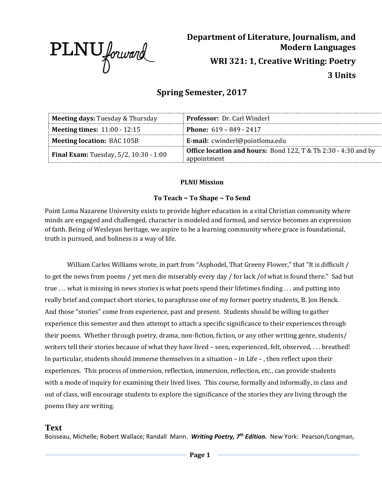

# **Department of Literature, Journalism, and Modern Languages WRI 321: 1, Creative Writing: Poetry 3 Units**

# **Spring Semester, 2017**

| <b>Meeting days: Tuesday &amp; Thursday</b>   | <b>Professor:</b> Dr. Carl Winderl                                                   |
|-----------------------------------------------|--------------------------------------------------------------------------------------|
| <b>Meeting times: 11:00 - 12:15</b>           | <b>Phone:</b> $619 - 849 - 2417$                                                     |
| <b>Meeting location: BAC 105B</b>             | E-mail: cwinderl@pointloma.edu                                                       |
| <b>Final Exam:</b> Tuesday, 5/2, 10:30 - 1:00 | <b>Office location and hours:</b> Bond 122, T & Th 2:30 - 4:30 and by<br>appointment |

### **PLNU Mission**

### **To Teach ~ To Shape ~ To Send**

Point Loma Nazarene University exists to provide higher education in a vital Christian community where minds are engaged and challenged, character is modeled and formed, and service becomes an expression of faith. Being of Wesleyan heritage, we aspire to be a learning community where grace is foundational, truth is pursued, and holiness is a way of life.

William Carlos Williams wrote, in part from "Asphodel, That Greeny Flower," that "It is difficult / to get the news from poems / yet men die miserably every day / for lack /of what is found there." Sad but true . . . what is missing in news stories is what poets spend their lifetimes finding . . . and putting into really brief and compact short stories, to paraphrase one of my former poetry students, B. Jon Henck. And those "stories" come from experience, past and present. Students should be willing to gather experience this semester and then attempt to attach a specific significance to their experiences through their poems. Whether through poetry, drama, non-fiction, fiction, or any other writing genre, students/ writers tell their stories because of what they have lived – seen, experienced, felt, observed, . . . breathed! In particular, students should immerse themselves in a situation – in Life – , then reflect upon their experiences. This process of immersion, reflection, immersion, reflection, etc., can provide students with a mode of inquiry for examining their lived lives. This course, formally and informally, in class and out of class, will encourage students to explore the significance of the stories they are living through the poems they are writing.

# **Text**

Boisseau, Michelle; Robert Wallace; Randall Mann. *Writing Poetry, 7th Edition.* New York: Pearson/Longman,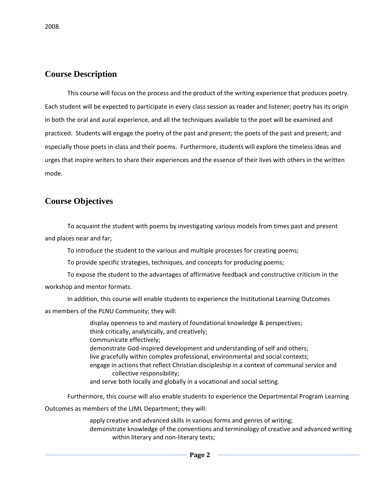# **Course Description**

This course will focus on the process and the product of the writing experience that produces poetry. Each student will be expected to participate in every class session as reader and listener; poetry has its origin in both the oral and aural experience, and all the techniques available to the poet will be examined and practiced. Students will engage the poetry of the past and present; the poets of the past and present; and especially those poets in-class and their poems. Furthermore, students will explore the timeless ideas and urges that inspire writers to share their experiences and the essence of their lives with others in the written mode.

# **Course Objectives**

To acquaint the student with poems by investigating various models from times past and present and places near and far;

To introduce the student to the various and multiple processes for creating poems;

To provide specific strategies, techniques, and concepts for producing poems;

To expose the student to the advantages of affirmative feedback and constructive criticism in the workshop and mentor formats.

In addition, this course will enable students to experience the Institutional Learning Outcomes as members of the PLNU Community; they will:

> display openness to and mastery of foundational knowledge & perspectives; think critically, analytically, and creatively; communicate effectively; demonstrate God-inspired development and understanding of self and others; live gracefully within complex professional, environmental and social contexts; engage in actions that reflect Christian discipleship in a context of communal service and collective responsibility; and serve both locally and globally in a vocational and social setting.

Furthermore, this course will also enable students to experience the Departmental Program Learning

Outcomes as members of the LJML Department; they will:

apply creative and advanced skills in various forms and genres of writing; demonstrate knowledge of the conventions and terminology of creative and advanced writing within literary and non-literary texts;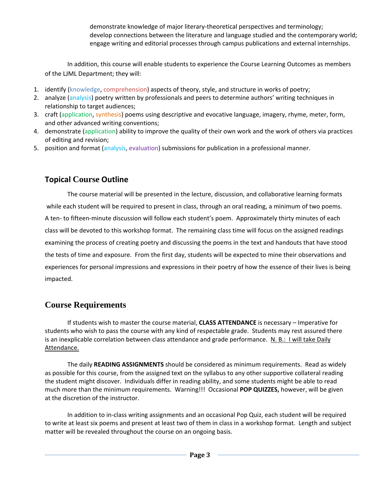demonstrate knowledge of major literary-theoretical perspectives and terminology; develop connections between the literature and language studied and the contemporary world; engage writing and editorial processes through campus publications and external internships.

In addition, this course will enable students to experience the Course Learning Outcomes as members of the LJML Department; they will:

- 1. identify (knowledge, comprehension) aspects of theory, style, and structure in works of poetry;
- 2. analyze (analysis) poetry written by professionals and peers to determine authors' writing techniques in relationship to target audiences;
- 3. craft (application, synthesis) poems using descriptive and evocative language, imagery, rhyme, meter, form, and other advanced writing conventions;
- 4. demonstrate (application) ability to improve the quality of their own work and the work of others via practices of editing and revision;
- 5. position and format (analysis, evaluation) submissions for publication in a professional manner.

# **Topical Course Outline**

The course material will be presented in the lecture, discussion, and collaborative learning formats while each student will be required to present in class, through an oral reading, a minimum of two poems. A ten- to fifteen-minute discussion will follow each student's poem. Approximately thirty minutes of each class will be devoted to this workshop format. The remaining class time will focus on the assigned readings examining the process of creating poetry and discussing the poems in the text and handouts that have stood the tests of time and exposure. From the first day, students will be expected to mine their observations and experiences for personal impressions and expressions in their poetry of how the essence of their lives is being impacted.

# **Course Requirements**

If students wish to master the course material, **CLASS ATTENDANCE** is necessary – Imperative for students who wish to pass the course with any kind of respectable grade. Students may rest assured there is an inexplicable correlation between class attendance and grade performance. N. B.: I will take Daily Attendance.

The daily **READING ASSIGNMENTS** should be considered as minimum requirements. Read as widely as possible for this course, from the assigned text on the syllabus to any other supportive collateral reading the student might discover. Individuals differ in reading ability, and some students might be able to read much more than the minimum requirements. Warning!!! Occasional **POP QUIZZES,** however, will be given at the discretion of the instructor.

In addition to in-class writing assignments and an occasional Pop Quiz, each student will be required to write at least six poems and present at least two of them in class in a workshop format. Length and subject matter will be revealed throughout the course on an ongoing basis.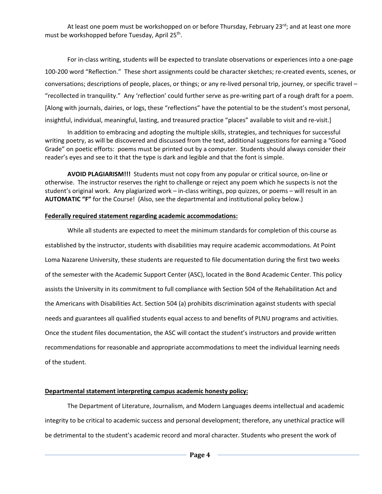At least one poem must be workshopped on or before Thursday, February 23<sup>rd</sup>; and at least one more must be workshopped before Tuesday, April 25<sup>th</sup>.

For in-class writing, students will be expected to translate observations or experiences into a one-page 100-200 word "Reflection." These short assignments could be character sketches; re-created events, scenes, or conversations; descriptions of people, places, or things; or any re-lived personal trip, journey, or specific travel – "recollected in tranquility." Any 'reflection' could further serve as pre-writing part of a rough draft for a poem. [Along with journals, dairies, or logs, these "reflections" have the potential to be the student's most personal, insightful, individual, meaningful, lasting, and treasured practice "places" available to visit and re-visit.]

In addition to embracing and adopting the multiple skills, strategies, and techniques for successful writing poetry, as will be discovered and discussed from the text, additional suggestions for earning a "Good Grade" on poetic efforts: poems must be printed out by a computer. Students should always consider their reader's eyes and see to it that the type is dark and legible and that the font is simple.

**AVOID PLAGIARISM!!!** Students must not copy from any popular or critical source, on-line or otherwise. The instructor reserves the right to challenge or reject any poem which he suspects is not the student's original work. Any plagiarized work – in-class writings, pop quizzes, or poems – will result in an **AUTOMATIC "F"** for the Course! (Also, see the departmental and institutional policy below.)

#### **Federally required statement regarding academic accommodations:**

While all students are expected to meet the minimum standards for completion of this course as established by the instructor, students with disabilities may require academic accommodations. At Point Loma Nazarene University, these students are requested to file documentation during the first two weeks of the semester with the Academic Support Center (ASC), located in the Bond Academic Center. This policy assists the University in its commitment to full compliance with Section 504 of the Rehabilitation Act and the Americans with Disabilities Act. Section 504 (a) prohibits discrimination against students with special needs and guarantees all qualified students equal access to and benefits of PLNU programs and activities. Once the student files documentation, the ASC will contact the student's instructors and provide written recommendations for reasonable and appropriate accommodations to meet the individual learning needs of the student.

#### **Departmental statement interpreting campus academic honesty policy:**

The Department of Literature, Journalism, and Modern Languages deems intellectual and academic integrity to be critical to academic success and personal development; therefore, any unethical practice will be detrimental to the student's academic record and moral character. Students who present the work of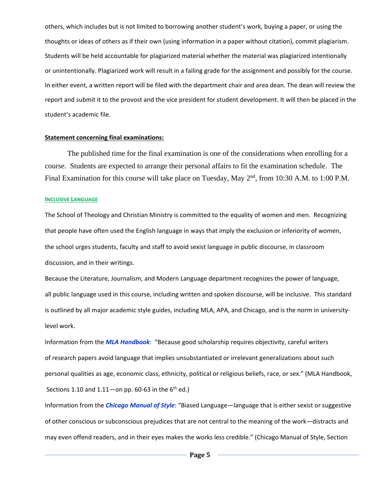others, which includes but is not limited to borrowing another student's work, buying a paper, or using the thoughts or ideas of others as if their own (using information in a paper without citation), commit plagiarism. Students will be held accountable for plagiarized material whether the material was plagiarized intentionally or unintentionally. Plagiarized work will result in a failing grade for the assignment and possibly for the course. In either event, a written report will be filed with the department chair and area dean. The dean will review the report and submit it to the provost and the vice president for student development. It will then be placed in the student's academic file.

#### **Statement concerning final examinations:**

The published time for the final examination is one of the considerations when enrolling for a course. Students are expected to arrange their personal affairs to fit the examination schedule. The Final Examination for this course will take place on Tuesday, May 2<sup>nd</sup>, from 10:30 A.M. to 1:00 P.M.

#### **INCLUSIVE LANGUAGE**

The School of Theology and Christian Ministry is committed to the equality of women and men. Recognizing that people have often used the English language in ways that imply the exclusion or inferiority of women, the school urges students, faculty and staff to avoid sexist language in public discourse, in classroom discussion, and in their writings.

Because the Literature, Journalism, and Modern Language department recognizes the power of language, all public language used in this course, including written and spoken discourse, will be inclusive. This standard is outlined by all major academic style guides, including MLA, APA, and Chicago, and is the norm in universitylevel work.

Information from the *MLA Handbook*: "Because good scholarship requires objectivity, careful writers of research papers avoid language that implies unsubstantiated or irrelevant generalizations about such personal qualities as age, economic class, ethnicity, political or religious beliefs, race, or sex." (MLA Handbook, Sections 1.10 and  $1.11$ —on pp. 60-63 in the  $6<sup>th</sup>$  ed.)

Information from the *Chicago Manual of Style*: "Biased Language—language that is either sexist or suggestive of other conscious or subconscious prejudices that are not central to the meaning of the work—distracts and may even offend readers, and in their eyes makes the works less credible." (Chicago Manual of Style, Section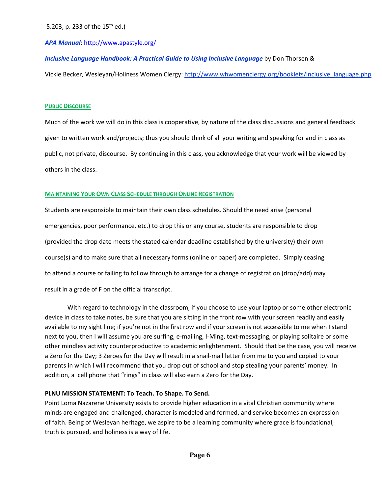### *APA Manual*[: http://www.apastyle.org/](http://www.apastyle.org/)

*Inclusive Language Handbook: A Practical Guide to Using Inclusive Language* by Don Thorsen &

Vickie Becker, Wesleyan/Holiness Women Clergy: [http://www.whwomenclergy.org/booklets/inclusive\\_language.php](http://www.whwomenclergy.org/booklets/inclusive_language.php)

#### **PUBLIC DISCOURSE**

Much of the work we will do in this class is cooperative, by nature of the class discussions and general feedback given to written work and/projects; thus you should think of all your writing and speaking for and in class as public, not private, discourse. By continuing in this class, you acknowledge that your work will be viewed by others in the class.

### **MAINTAINING YOUR OWN CLASS SCHEDULE THROUGH ONLINE REGISTRATION**

Students are responsible to maintain their own class schedules. Should the need arise (personal emergencies, poor performance, etc.) to drop this or any course, students are responsible to drop (provided the drop date meets the stated calendar deadline established by the university) their own course(s) and to make sure that all necessary forms (online or paper) are completed. Simply ceasing to attend a course or failing to follow through to arrange for a change of registration (drop/add) may result in a grade of F on the official transcript.

With regard to technology in the classroom, if you choose to use your laptop or some other electronic device in class to take notes, be sure that you are sitting in the front row with your screen readily and easily available to my sight line; if you're not in the first row and if your screen is not accessible to me when I stand next to you, then I will assume you are surfing, e-mailing, I-Ming, text-messaging, or playing solitaire or some other mindless activity counterproductive to academic enlightenment. Should that be the case, you will receive a Zero for the Day; 3 Zeroes for the Day will result in a snail-mail letter from me to you and copied to your parents in which I will recommend that you drop out of school and stop stealing your parents' money. In addition, a cell phone that "rings" in class will also earn a Zero for the Day.

### **PLNU MISSION STATEMENT: To Teach. To Shape. To Send.**

Point Loma Nazarene University exists to provide higher education in a vital Christian community where minds are engaged and challenged, character is modeled and formed, and service becomes an expression of faith. Being of Wesleyan heritage, we aspire to be a learning community where grace is foundational, truth is pursued, and holiness is a way of life.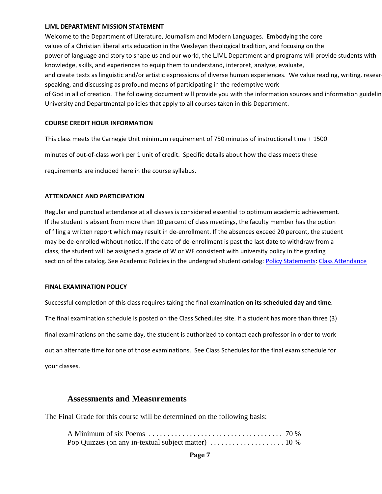#### **LJML DEPARTMENT MISSION STATEMENT**

Welcome to the Department of Literature, Journalism and Modern Languages. Embodying the core values of a Christian liberal arts education in the Wesleyan theological tradition, and focusing on the power of language and story to shape us and our world, the LJML Department and programs will provide students with knowledge, skills, and experiences to equip them to understand, interpret, analyze, evaluate, and create texts as linguistic and/or artistic expressions of diverse human experiences. We value reading, writing, resear speaking, and discussing as profound means of participating in the redemptive work of God in all of creation. The following document will provide you with the information sources and information guidelin University and Departmental policies that apply to all courses taken in this Department.

#### **COURSE CREDIT HOUR INFORMATION**

This class meets the Carnegie Unit minimum requirement of 750 minutes of instructional time + 1500

minutes of out-of-class work per 1 unit of credit. Specific details about how the class meets these

requirements are included here in the course syllabus.

#### **ATTENDANCE AND PARTICIPATION**

Regular and punctual attendance at all classes is considered essential to optimum academic achievement. If the student is absent from more than 10 percent of class meetings, the faculty member has the option of filing a written report which may result in de-enrollment. If the absences exceed 20 percent, the student may be de-enrolled without notice. If the date of de-enrollment is past the last date to withdraw from a class, the student will be assigned a grade of W or WF consistent with university policy in the grading section of the catalog. See Academic Policies in the undergrad student catalog: [Policy Statements:](http://catalog.pointloma.edu/content.php?catoid=8&navoid=864) [Class Attendance](http://catalog.pointloma.edu/content.php?catoid=8&navoid=864#Class_Attendance)

#### **FINAL EXAMINATION POLICY**

Successful completion of this class requires taking the final examination **on its scheduled day and time**. The final examination schedule is posted on the Class Schedules site. If a student has more than three (3) final examinations on the same day, the student is authorized to contact each professor in order to work out an alternate time for one of those examinations. See Class Schedules for the final exam schedule for your classes.

## **Assessments and Measurements**

The Final Grade for this course will be determined on the following basis: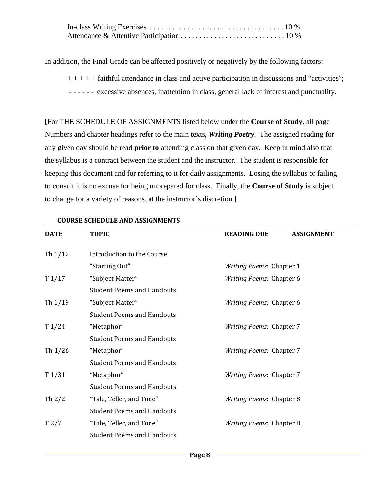In addition, the Final Grade can be affected positively or negatively by the following factors:

 $++++$  faithful attendance in class and active participation in discussions and "activities"; - - - - - - excessive absences, inattention in class, general lack of interest and punctuality.

[For THE SCHEDULE OF ASSIGNMENTS listed below under the **Course of Study**, all page Numbers and chapter headings refer to the main texts, *Writing Poetry.* The assigned reading for any given day should be read **prior to** attending class on that given day. Keep in mind also that the syllabus is a contract between the student and the instructor. The student is responsible for keeping this document and for referring to it for daily assignments. Losing the syllabus or failing to consult it is no excuse for being unprepared for class. Finally, the **Course of Study** is subject to change for a variety of reasons, at the instructor's discretion.]

| <b>DATE</b> | <b>TOPIC</b>                      | <b>READING DUE</b>              | <b>ASSIGNMENT</b> |
|-------------|-----------------------------------|---------------------------------|-------------------|
| Th $1/12$   | Introduction to the Course        |                                 |                   |
|             | "Starting Out"                    | <b>Writing Poems: Chapter 1</b> |                   |
| T1/17       | "Subject Matter"                  | Writing Poems: Chapter 6        |                   |
|             | <b>Student Poems and Handouts</b> |                                 |                   |
| Th $1/19$   | "Subject Matter"                  | <b>Writing Poems: Chapter 6</b> |                   |
|             | <b>Student Poems and Handouts</b> |                                 |                   |
| T1/24       | "Metaphor"                        | <b>Writing Poems: Chapter 7</b> |                   |
|             | <b>Student Poems and Handouts</b> |                                 |                   |
| Th $1/26$   | "Metaphor"                        | <b>Writing Poems: Chapter 7</b> |                   |
|             | <b>Student Poems and Handouts</b> |                                 |                   |
| T1/31       | "Metaphor"                        | Writing Poems: Chapter 7        |                   |
|             | <b>Student Poems and Handouts</b> |                                 |                   |
| Th $2/2$    | "Tale, Teller, and Tone"          | <b>Writing Poems: Chapter 8</b> |                   |
|             | <b>Student Poems and Handouts</b> |                                 |                   |
| T2/7        | "Tale, Teller, and Tone"          | Writing Poems: Chapter 8        |                   |
|             | <b>Student Poems and Handouts</b> |                                 |                   |

### **COURSE SCHEDULE AND ASSIGNMENTS**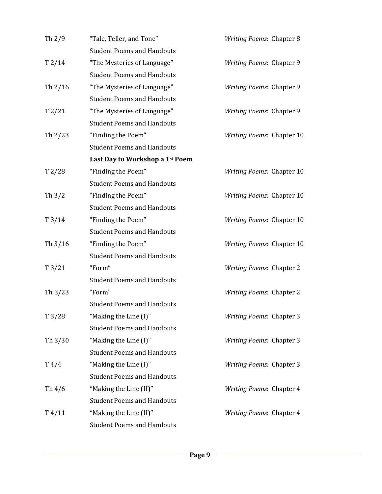| Th $2/9$        | "Tale, Teller, and Tone"          | Writing Poems: Chapter 8         |
|-----------------|-----------------------------------|----------------------------------|
|                 | <b>Student Poems and Handouts</b> |                                  |
| T2/14           | "The Mysteries of Language"       | Writing Poems: Chapter 9         |
|                 | <b>Student Poems and Handouts</b> |                                  |
| Th 2/16         | "The Mysteries of Language"       | Writing Poems: Chapter 9         |
|                 | <b>Student Poems and Handouts</b> |                                  |
| T2/21           | "The Mysteries of Language"       | Writing Poems: Chapter 9         |
|                 | <b>Student Poems and Handouts</b> |                                  |
| Th $2/23$       | "Finding the Poem"                | Writing Poems: Chapter 10        |
|                 | <b>Student Poems and Handouts</b> |                                  |
|                 | Last Day to Workshop a 1st Poem   |                                  |
| T2/28           | "Finding the Poem"                | <b>Writing Poems: Chapter 10</b> |
|                 | <b>Student Poems and Handouts</b> |                                  |
| Th $3/2$        | "Finding the Poem"                | Writing Poems: Chapter 10        |
|                 | <b>Student Poems and Handouts</b> |                                  |
| T3/14           | "Finding the Poem"                | Writing Poems: Chapter 10        |
|                 | <b>Student Poems and Handouts</b> |                                  |
| Th $3/16$       | "Finding the Poem"                | Writing Poems: Chapter 10        |
|                 | <b>Student Poems and Handouts</b> |                                  |
| T3/21           | "Form"                            | <b>Writing Poems: Chapter 2</b>  |
|                 | <b>Student Poems and Handouts</b> |                                  |
| Th 3/23         | "Form"                            | <b>Writing Poems: Chapter 2</b>  |
|                 | <b>Student Poems and Handouts</b> |                                  |
| T3/28           | "Making the Line (I)"             | <b>Writing Poems: Chapter 3</b>  |
|                 | <b>Student Poems and Handouts</b> |                                  |
| Th $3/30$       | "Making the Line (I)"             | <b>Writing Poems: Chapter 3</b>  |
|                 | <b>Student Poems and Handouts</b> |                                  |
| T4/4            | "Making the Line (I)"             | <b>Writing Poems: Chapter 3</b>  |
|                 | <b>Student Poems and Handouts</b> |                                  |
| Th $4/6$        | "Making the Line (II)"            | Writing Poems: Chapter 4         |
|                 | <b>Student Poems and Handouts</b> |                                  |
| $T\frac{4}{11}$ | "Making the Line (II)"            | Writing Poems: Chapter 4         |
|                 | <b>Student Poems and Handouts</b> |                                  |